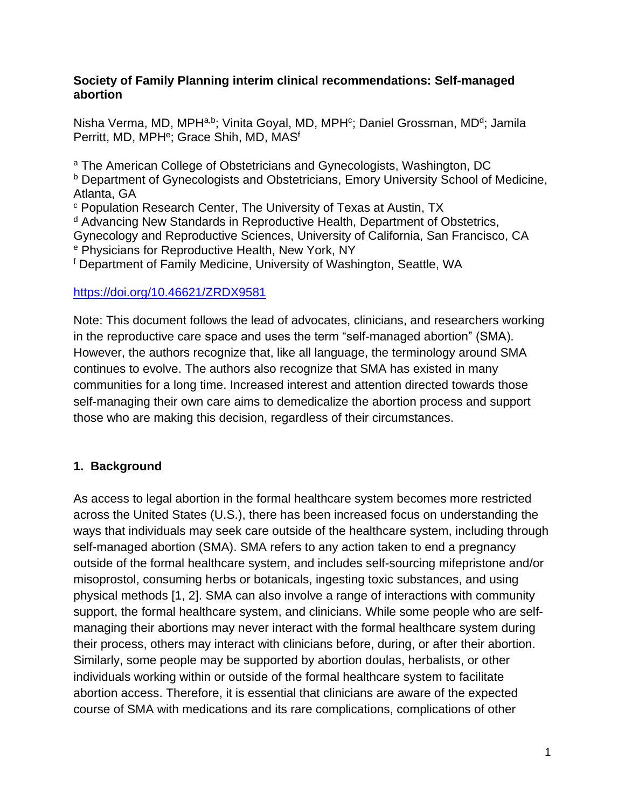#### **Society of Family Planning interim clinical recommendations: Self-managed abortion**

Nisha Verma, MD, MPH<sup>a,b</sup>; Vinita Goyal, MD, MPH<sup>c</sup>; Daniel Grossman, MD<sup>d</sup>; Jamila Perritt, MD, MPH<sup>e</sup>; Grace Shih, MD, MAS<sup>f</sup>

<sup>a</sup> The American College of Obstetricians and Gynecologists, Washington, DC **b** Department of Gynecologists and Obstetricians, Emory University School of Medicine, Atlanta, GA <sup>c</sup> Population Research Center, The University of Texas at Austin, TX <sup>d</sup> Advancing New Standards in Reproductive Health, Department of Obstetrics, Gynecology and Reproductive Sciences, University of California, San Francisco, CA <sup>e</sup> Physicians for Reproductive Health, New York, NY

<sup>f</sup> Department of Family Medicine, University of Washington, Seattle, WA

#### <https://doi.org/10.46621/ZRDX9581>

Note: This document follows the lead of advocates, clinicians, and researchers working in the reproductive care space and uses the term "self-managed abortion" (SMA). However, the authors recognize that, like all language, the terminology around SMA continues to evolve. The authors also recognize that SMA has existed in many communities for a long time. Increased interest and attention directed towards those self-managing their own care aims to demedicalize the abortion process and support those who are making this decision, regardless of their circumstances.

## **1. Background**

As access to legal abortion in the formal healthcare system becomes more restricted across the United States (U.S.), there has been increased focus on understanding the ways that individuals may seek care outside of the healthcare system, including through self-managed abortion (SMA). SMA refers to any action taken to end a pregnancy outside of the formal healthcare system, and includes self-sourcing mifepristone and/or misoprostol, consuming herbs or botanicals, ingesting toxic substances, and using physical methods [\[1,](#page-16-0) [2\]](#page-16-1). SMA can also involve a range of interactions with community support, the formal healthcare system, and clinicians. While some people who are selfmanaging their abortions may never interact with the formal healthcare system during their process, others may interact with clinicians before, during, or after their abortion. Similarly, some people may be supported by abortion doulas, herbalists, or other individuals working within or outside of the formal healthcare system to facilitate abortion access. Therefore, it is essential that clinicians are aware of the expected course of SMA with medications and its rare complications, complications of other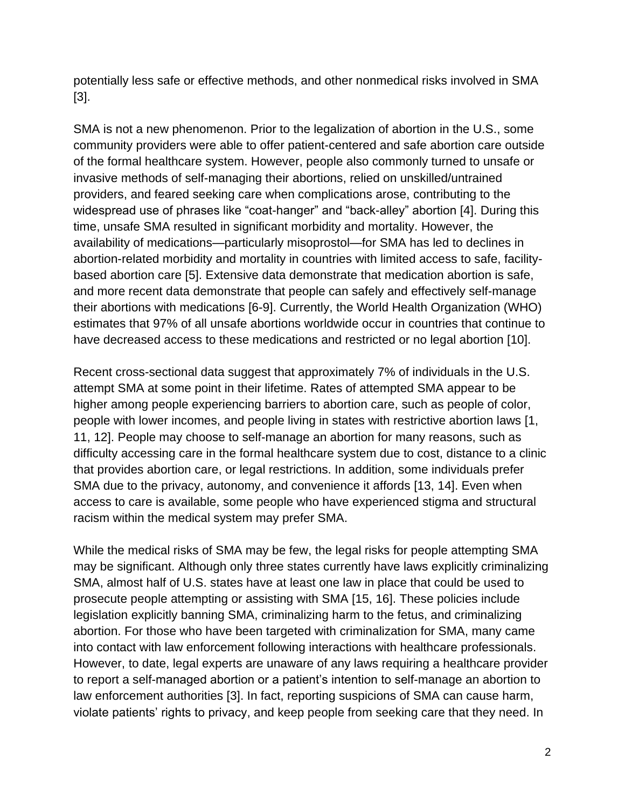potentially less safe or effective methods, and other nonmedical risks involved in SMA [\[3\]](#page-16-2).

SMA is not a new phenomenon. Prior to the legalization of abortion in the U.S., some community providers were able to offer patient-centered and safe abortion care outside of the formal healthcare system. However, people also commonly turned to unsafe or invasive methods of self-managing their abortions, relied on unskilled/untrained providers, and feared seeking care when complications arose, contributing to the widespread use of phrases like "coat-hanger" and "back-alley" abortion [\[4\]](#page-16-3). During this time, unsafe SMA resulted in significant morbidity and mortality. However, the availability of medications—particularly misoprostol—for SMA has led to declines in abortion-related morbidity and mortality in countries with limited access to safe, facilitybased abortion care [\[5\]](#page-16-4). Extensive data demonstrate that medication abortion is safe, and more recent data demonstrate that people can safely and effectively self-manage their abortions with medications [\[6-9\]](#page-16-5). Currently, the World Health Organization (WHO) estimates that 97% of all unsafe abortions worldwide occur in countries that continue to have decreased access to these medications and restricted or no legal abortion [\[10\]](#page-16-6).

Recent cross-sectional data suggest that approximately 7% of individuals in the U.S. attempt SMA at some point in their lifetime. Rates of attempted SMA appear to be higher among people experiencing barriers to abortion care, such as people of color, people with lower incomes, and people living in states with restrictive abortion laws [\[1,](#page-16-0) [11,](#page-16-7) [12\]](#page-16-8). People may choose to self-manage an abortion for many reasons, such as difficulty accessing care in the formal healthcare system due to cost, distance to a clinic that provides abortion care, or legal restrictions. In addition, some individuals prefer SMA due to the privacy, autonomy, and convenience it affords [\[13,](#page-16-9) [14\]](#page-16-10). Even when access to care is available, some people who have experienced stigma and structural racism within the medical system may prefer SMA.

While the medical risks of SMA may be few, the legal risks for people attempting SMA may be significant. Although only three states currently have laws explicitly criminalizing SMA, almost half of U.S. states have at least one law in place that could be used to prosecute people attempting or assisting with SMA [\[15,](#page-16-11) [16\]](#page-17-0). These policies include legislation explicitly banning SMA, criminalizing harm to the fetus, and criminalizing abortion. For those who have been targeted with criminalization for SMA, many came into contact with law enforcement following interactions with healthcare professionals. However, to date, legal experts are unaware of any laws requiring a healthcare provider to report a self-managed abortion or a patient's intention to self-manage an abortion to law enforcement authorities [\[3\]](#page-16-2). In fact, reporting suspicions of SMA can cause harm, violate patients' rights to privacy, and keep people from seeking care that they need. In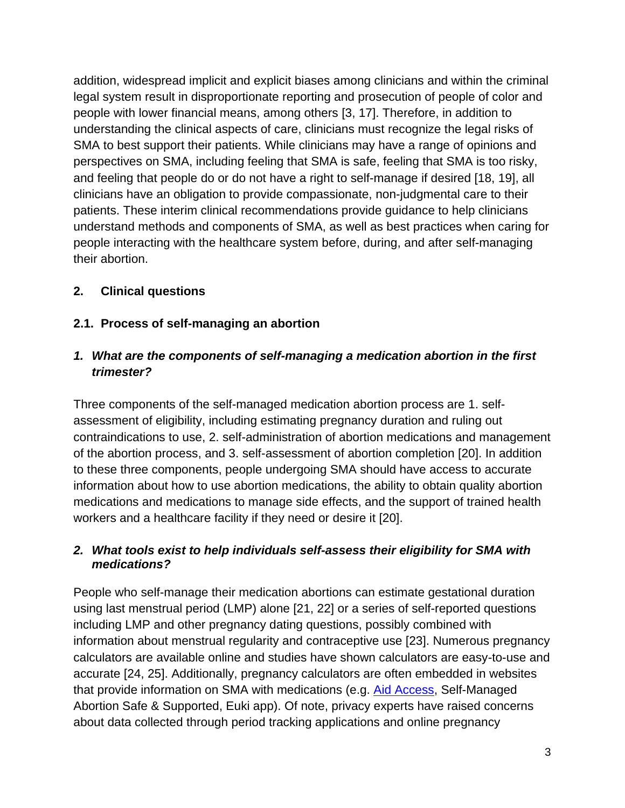addition, widespread implicit and explicit biases among clinicians and within the criminal legal system result in disproportionate reporting and prosecution of people of color and people with lower financial means, among others [\[3,](#page-16-2) [17\]](#page-17-1). Therefore, in addition to understanding the clinical aspects of care, clinicians must recognize the legal risks of SMA to best support their patients. While clinicians may have a range of opinions and perspectives on SMA, including feeling that SMA is safe, feeling that SMA is too risky, and feeling that people do or do not have a right to self-manage if desired [\[18,](#page-17-2) [19\]](#page-17-3), all clinicians have an obligation to provide compassionate, non-judgmental care to their patients. These interim clinical recommendations provide guidance to help clinicians understand methods and components of SMA, as well as best practices when caring for people interacting with the healthcare system before, during, and after self-managing their abortion.

## **2. Clinical questions**

### **2.1. Process of self-managing an abortion**

### *1. What are the components of self-managing a medication abortion in the first trimester?*

Three components of the self-managed medication abortion process are 1. selfassessment of eligibility, including estimating pregnancy duration and ruling out contraindications to use, 2. self-administration of abortion medications and management of the abortion process, and 3. self-assessment of abortion completion [\[20\]](#page-17-4). In addition to these three components, people undergoing SMA should have access to accurate information about how to use abortion medications, the ability to obtain quality abortion medications and medications to manage side effects, and the support of trained health workers and a healthcare facility if they need or desire it [\[20\]](#page-17-4).

#### *2. What tools exist to help individuals self-assess their eligibility for SMA with medications?*

People who self-manage their medication abortions can estimate gestational duration using last menstrual period (LMP) alone [\[21,](#page-17-5) [22\]](#page-17-6) or a series of self-reported questions including LMP and other pregnancy dating questions, possibly combined with information about menstrual regularity and contraceptive use [\[23\]](#page-17-7). Numerous pregnancy calculators are available online and studies have shown calculators are easy-to-use and accurate [\[24,](#page-17-8) [25\]](#page-17-9). Additionally, pregnancy calculators are often embedded in websites that provide information on SMA with medications (e.g. [Aid Access,](https://aidaccess.org/en/page/433/how-do-you-know-if-you-are-pregnant-and-how-long-you-have-been-pregnant-for) Self-Managed Abortion Safe & Supported, Euki app). Of note, privacy experts have raised concerns about data collected through period tracking applications and online pregnancy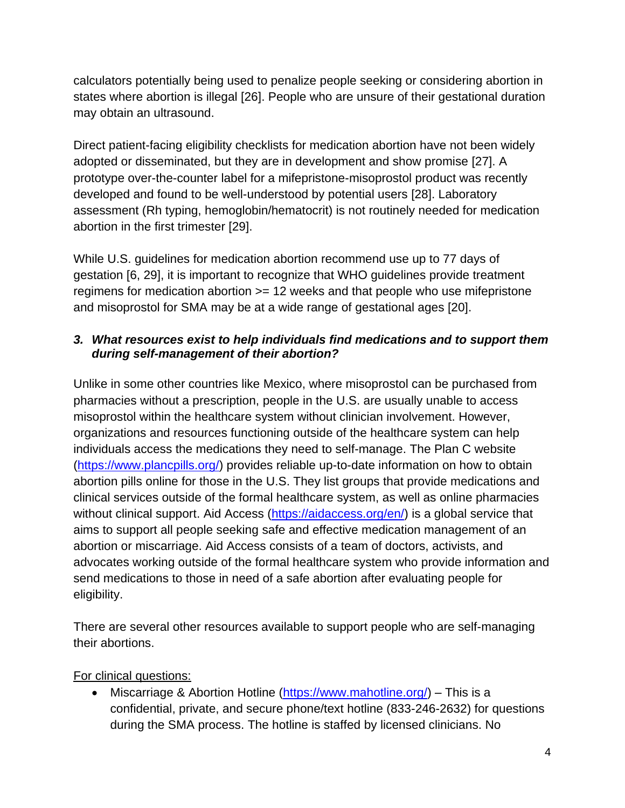calculators potentially being used to penalize people seeking or considering abortion in states where abortion is illegal [\[26\]](#page-17-10). People who are unsure of their gestational duration may obtain an ultrasound.

Direct patient-facing eligibility checklists for medication abortion have not been widely adopted or disseminated, but they are in development and show promise [\[27\]](#page-17-11). A prototype over-the-counter label for a mifepristone-misoprostol product was recently developed and found to be well-understood by potential users [\[28\]](#page-17-12). Laboratory assessment (Rh typing, hemoglobin/hematocrit) is not routinely needed for medication abortion in the first trimester [\[29\]](#page-17-13).

While U.S. guidelines for medication abortion recommend use up to 77 days of gestation [\[6,](#page-16-5) [29\]](#page-17-13), it is important to recognize that WHO guidelines provide treatment regimens for medication abortion >= 12 weeks and that people who use mifepristone and misoprostol for SMA may be at a wide range of gestational ages [\[20\]](#page-17-4).

### *3. What resources exist to help individuals find medications and to support them during self-management of their abortion?*

Unlike in some other countries like Mexico, where misoprostol can be purchased from pharmacies without a prescription, people in the U.S. are usually unable to access misoprostol within the healthcare system without clinician involvement. However, organizations and resources functioning outside of the healthcare system can help individuals access the medications they need to self-manage. The Plan C website [\(https://www.plancpills.org/\)](https://www.plancpills.org/) provides reliable up-to-date information on how to obtain abortion pills online for those in the U.S. They list groups that provide medications and clinical services outside of the formal healthcare system, as well as online pharmacies without clinical support. Aid Access [\(https://aidaccess.org/en/\)](https://aidaccess.org/en/) is a global service that aims to support all people seeking safe and effective medication management of an abortion or miscarriage. Aid Access consists of a team of doctors, activists, and advocates working outside of the formal healthcare system who provide information and send medications to those in need of a safe abortion after evaluating people for eligibility.

There are several other resources available to support people who are self-managing their abortions.

## For clinical questions:

• Miscarriage & Abortion Hotline [\(https://www.mahotline.org/\)](https://www.mahotline.org/) – This is a confidential, private, and secure phone/text hotline (833-246-2632) for questions during the SMA process. The hotline is staffed by licensed clinicians. No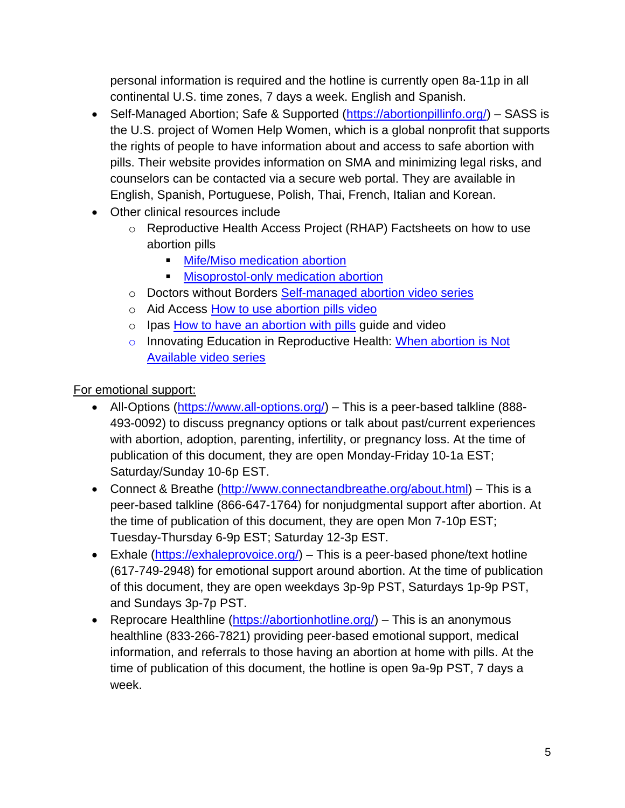personal information is required and the hotline is currently open 8a-11p in all continental U.S. time zones, 7 days a week. English and Spanish.

- Self-Managed Abortion; Safe & Supported [\(https://abortionpillinfo.org/\)](https://abortionpillinfo.org/) SASS is the U.S. project of Women Help Women, which is a global nonprofit that supports the rights of people to have information about and access to safe abortion with pills. Their website provides information on SMA and minimizing legal risks, and counselors can be contacted via a secure web portal. They are available in English, Spanish, Portuguese, Polish, Thai, French, Italian and Korean.
- Other clinical resources include
	- o Reproductive Health Access Project (RHAP) Factsheets on how to use abortion pills
		- **E** [Mife/Miso medication abortion](https://www.reproductiveaccess.org/wp-content/uploads/2020/08/abortion-pills-protocol-1.pdf)
		- **EXECUTE:** [Misoprostol-only medication abortion](https://www.reproductiveaccess.org/wp-content/uploads/2020/11/MisoFactSheet_Final.pdf)
	- o Doctors without Borders [Self-managed abortion video series](https://www.doctorswithoutborders.org/latest/how-have-safe-self-managed-abortion)
	- o Aid Access [How to use abortion pills video](https://aidaccess.org/en/page/494/video-how-to-use-abortion-pills)
	- $\circ$  Ipas [How to have an abortion with pills](https://www.ipas.org/our-work/abortion-self-care/abortion-with-pills/) guide and video
	- o Innovating Education in Reproductive Health: When abortion is Not [Available video series](https://www.innovating-education.org/course/when-abortion-is-not-available/)

For emotional support:

- All-Options [\(https://www.all-options.org/\)](https://www.all-options.org/) This is a peer-based talkline (888-493-0092) to discuss pregnancy options or talk about past/current experiences with abortion, adoption, parenting, infertility, or pregnancy loss. At the time of publication of this document, they are open Monday-Friday 10-1a EST; Saturday/Sunday 10-6p EST.
- Connect & Breathe [\(http://www.connectandbreathe.org/about.html\)](http://www.connectandbreathe.org/about.html) This is a peer-based talkline (866-647-1764) for nonjudgmental support after abortion. At the time of publication of this document, they are open Mon 7-10p EST; Tuesday-Thursday 6-9p EST; Saturday 12-3p EST.
- Exhale [\(https://exhaleprovoice.org/\)](https://exhaleprovoice.org/) This is a peer-based phone/text hotline (617-749-2948) for emotional support around abortion. At the time of publication of this document, they are open weekdays 3p-9p PST, Saturdays 1p-9p PST, and Sundays 3p-7p PST.
- Reprocare Healthline [\(https://abortionhotline.org/\)](https://abortionhotline.org/) This is an anonymous healthline (833-266-7821) providing peer-based emotional support, medical information, and referrals to those having an abortion at home with pills. At the time of publication of this document, the hotline is open 9a-9p PST, 7 days a week.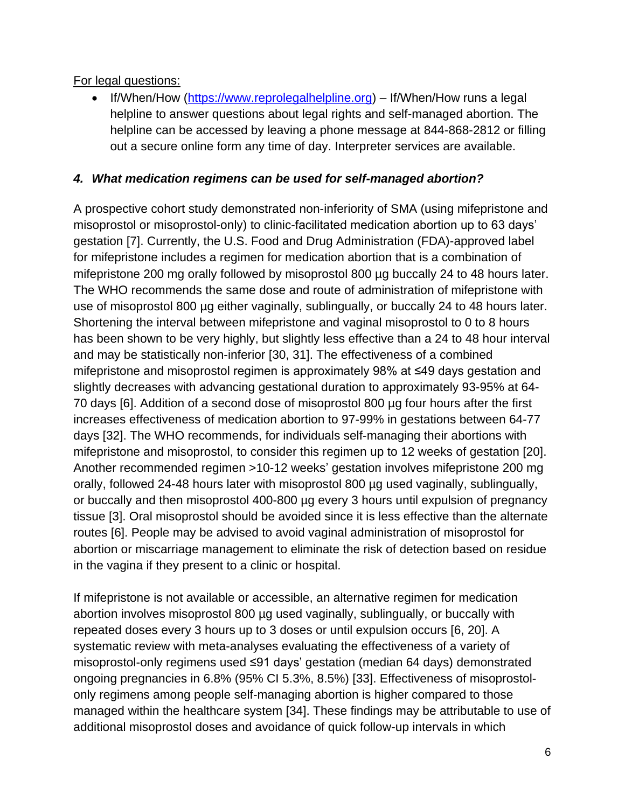For legal questions:

• If/When/How [\(https://www.reprolegalhelpline.org\)](https://www.reprolegalhelpline.org/) – If/When/How runs a legal helpline to answer questions about legal rights and self-managed abortion. The helpline can be accessed by leaving a phone message at 844-868-2812 or filling out a secure online form any time of day. Interpreter services are available.

## *4. What medication regimens can be used for self-managed abortion?*

A prospective cohort study demonstrated non-inferiority of SMA (using mifepristone and misoprostol or misoprostol-only) to clinic-facilitated medication abortion up to 63 days' gestation [\[7\]](#page-16-12). Currently, the U.S. Food and Drug Administration (FDA)-approved label for mifepristone includes a regimen for medication abortion that is a combination of mifepristone 200 mg orally followed by misoprostol 800 µg buccally 24 to 48 hours later. The WHO recommends the same dose and route of administration of mifepristone with use of misoprostol 800 µg either vaginally, sublingually, or buccally 24 to 48 hours later. Shortening the interval between mifepristone and vaginal misoprostol to 0 to 8 hours has been shown to be very highly, but slightly less effective than a 24 to 48 hour interval and may be statistically non-inferior [\[30,](#page-17-14) [31\]](#page-17-15). The effectiveness of a combined mifepristone and misoprostol regimen is approximately 98% at ≤49 days gestation and slightly decreases with advancing gestational duration to approximately 93-95% at 64- 70 days [\[6\]](#page-16-5). Addition of a second dose of misoprostol 800 µg four hours after the first increases effectiveness of medication abortion to 97-99% in gestations between 64-77 days [\[32\]](#page-18-0). The WHO recommends, for individuals self-managing their abortions with mifepristone and misoprostol, to consider this regimen up to 12 weeks of gestation [\[20\]](#page-17-4). Another recommended regimen >10-12 weeks' gestation involves mifepristone 200 mg orally, followed 24-48 hours later with misoprostol 800 µg used vaginally, sublingually, or buccally and then misoprostol 400-800 µg every 3 hours until expulsion of pregnancy tissue [\[3\]](#page-16-2). Oral misoprostol should be avoided since it is less effective than the alternate routes [\[6\]](#page-16-5). People may be advised to avoid vaginal administration of misoprostol for abortion or miscarriage management to eliminate the risk of detection based on residue in the vagina if they present to a clinic or hospital.

If mifepristone is not available or accessible, an alternative regimen for medication abortion involves misoprostol 800 µg used vaginally, sublingually, or buccally with repeated doses every 3 hours up to 3 doses or until expulsion occurs [\[6,](#page-16-5) [20\]](#page-17-4). A systematic review with meta-analyses evaluating the effectiveness of a variety of misoprostol-only regimens used ≤91 days' gestation (median 64 days) demonstrated ongoing pregnancies in 6.8% (95% CI 5.3%, 8.5%) [\[33\]](#page-18-1). Effectiveness of misoprostolonly regimens among people self-managing abortion is higher compared to those managed within the healthcare system [\[34\]](#page-18-2). These findings may be attributable to use of additional misoprostol doses and avoidance of quick follow-up intervals in which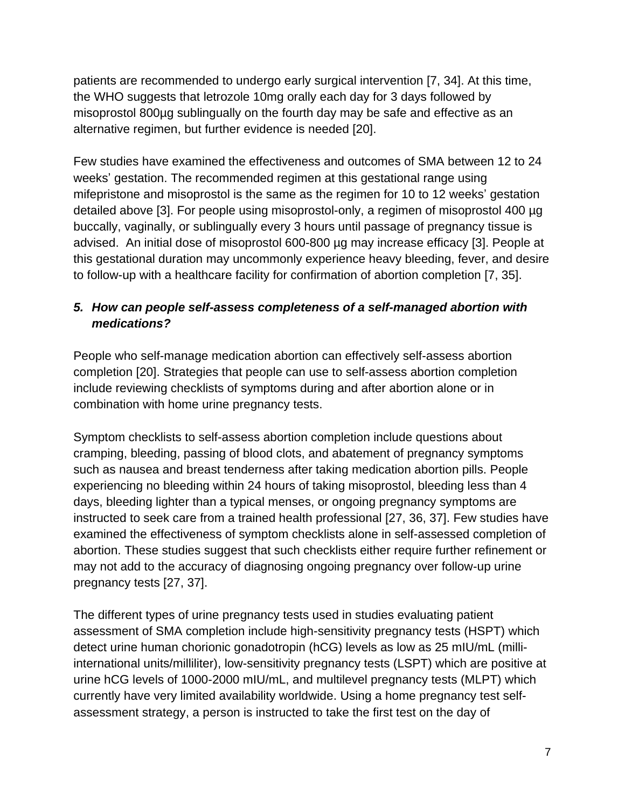patients are recommended to undergo early surgical intervention [\[7,](#page-16-12) [34\]](#page-18-2). At this time, the WHO suggests that letrozole 10mg orally each day for 3 days followed by misoprostol 800µg sublingually on the fourth day may be safe and effective as an alternative regimen, but further evidence is needed [\[20\]](#page-17-4).

Few studies have examined the effectiveness and outcomes of SMA between 12 to 24 weeks' gestation. The recommended regimen at this gestational range using mifepristone and misoprostol is the same as the regimen for 10 to 12 weeks' gestation detailed above [\[3\]](#page-16-2). For people using misoprostol-only, a regimen of misoprostol 400 µg buccally, vaginally, or sublingually every 3 hours until passage of pregnancy tissue is advised. An initial dose of misoprostol 600-800 µg may increase efficacy [\[3\]](#page-16-2). People at this gestational duration may uncommonly experience heavy bleeding, fever, and desire to follow-up with a healthcare facility for confirmation of abortion completion [\[7,](#page-16-12) [35\]](#page-18-3).

## *5. How can people self-assess completeness of a self-managed abortion with medications?*

People who self-manage medication abortion can effectively self-assess abortion completion [\[20\]](#page-17-4). Strategies that people can use to self-assess abortion completion include reviewing checklists of symptoms during and after abortion alone or in combination with home urine pregnancy tests.

Symptom checklists to self-assess abortion completion include questions about cramping, bleeding, passing of blood clots, and abatement of pregnancy symptoms such as nausea and breast tenderness after taking medication abortion pills. People experiencing no bleeding within 24 hours of taking misoprostol, bleeding less than 4 days, bleeding lighter than a typical menses, or ongoing pregnancy symptoms are instructed to seek care from a trained health professional [\[27,](#page-17-11) [36,](#page-18-4) [37\]](#page-18-5). Few studies have examined the effectiveness of symptom checklists alone in self-assessed completion of abortion. These studies suggest that such checklists either require further refinement or may not add to the accuracy of diagnosing ongoing pregnancy over follow-up urine pregnancy tests [\[27,](#page-17-11) [37\]](#page-18-5).

The different types of urine pregnancy tests used in studies evaluating patient assessment of SMA completion include high-sensitivity pregnancy tests (HSPT) which detect urine human chorionic gonadotropin (hCG) levels as low as 25 mIU/mL (milliinternational units/milliliter), low-sensitivity pregnancy tests (LSPT) which are positive at urine hCG levels of 1000-2000 mIU/mL, and multilevel pregnancy tests (MLPT) which currently have very limited availability worldwide. Using a home pregnancy test selfassessment strategy, a person is instructed to take the first test on the day of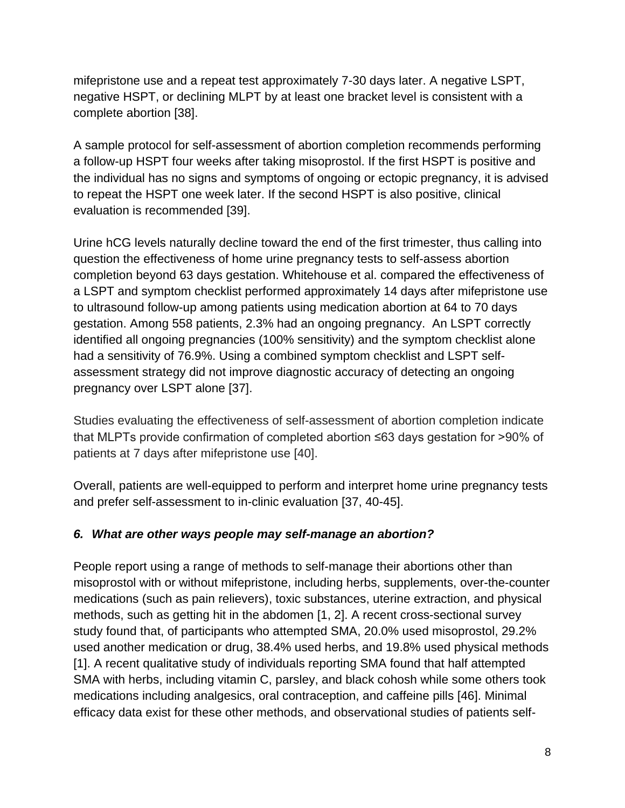mifepristone use and a repeat test approximately 7-30 days later. A negative LSPT, negative HSPT, or declining MLPT by at least one bracket level is consistent with a complete abortion [\[38\]](#page-18-6).

A sample protocol for self-assessment of abortion completion recommends performing a follow-up HSPT four weeks after taking misoprostol. If the first HSPT is positive and the individual has no signs and symptoms of ongoing or ectopic pregnancy, it is advised to repeat the HSPT one week later. If the second HSPT is also positive, clinical evaluation is recommended [\[39\]](#page-18-7).

Urine hCG levels naturally decline toward the end of the first trimester, thus calling into question the effectiveness of home urine pregnancy tests to self-assess abortion completion beyond 63 days gestation. Whitehouse et al. compared the effectiveness of a LSPT and symptom checklist performed approximately 14 days after mifepristone use to ultrasound follow-up among patients using medication abortion at 64 to 70 days gestation. Among 558 patients, 2.3% had an ongoing pregnancy. An LSPT correctly identified all ongoing pregnancies (100% sensitivity) and the symptom checklist alone had a sensitivity of 76.9%. Using a combined symptom checklist and LSPT selfassessment strategy did not improve diagnostic accuracy of detecting an ongoing pregnancy over LSPT alone [\[37\]](#page-18-5).

Studies evaluating the effectiveness of self-assessment of abortion completion indicate that MLPTs provide confirmation of completed abortion ≤63 days gestation for >90% of patients at 7 days after mifepristone use [\[40\]](#page-18-8).

Overall, patients are well-equipped to perform and interpret home urine pregnancy tests and prefer self-assessment to in-clinic evaluation [\[37,](#page-18-5) [40-45\]](#page-18-8).

#### *6. What are other ways people may self-manage an abortion?*

People report using a range of methods to self-manage their abortions other than misoprostol with or without mifepristone, including herbs, supplements, over-the-counter medications (such as pain relievers), toxic substances, uterine extraction, and physical methods, such as getting hit in the abdomen [\[1,](#page-16-0) [2\]](#page-16-1). A recent cross-sectional survey study found that, of participants who attempted SMA, 20.0% used misoprostol, 29.2% used another medication or drug, 38.4% used herbs, and 19.8% used physical methods [\[1\]](#page-16-0). A recent qualitative study of individuals reporting SMA found that half attempted SMA with herbs, including vitamin C, parsley, and black cohosh while some others took medications including analgesics, oral contraception, and caffeine pills [\[46\]](#page-18-9). Minimal efficacy data exist for these other methods, and observational studies of patients self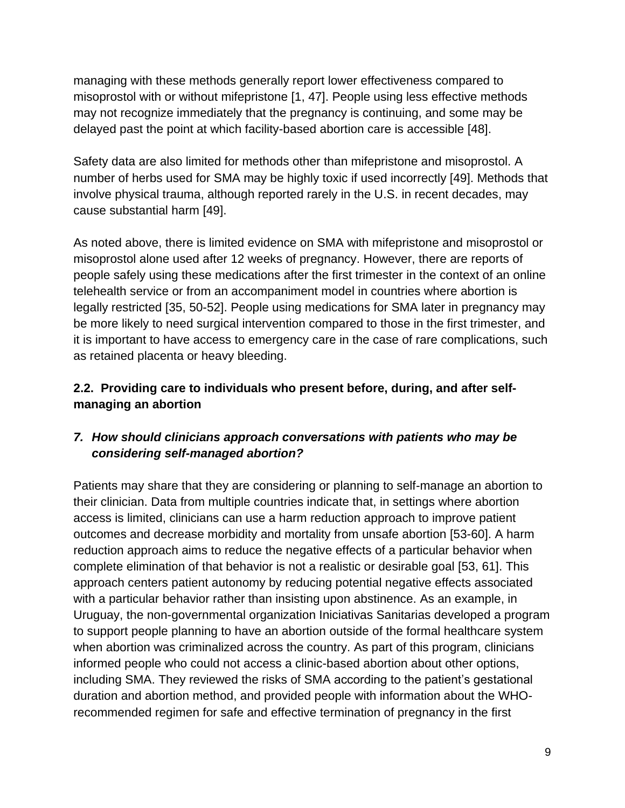managing with these methods generally report lower effectiveness compared to misoprostol with or without mifepristone [\[1,](#page-16-0) [47\]](#page-18-10). People using less effective methods may not recognize immediately that the pregnancy is continuing, and some may be delayed past the point at which facility-based abortion care is accessible [\[48\]](#page-18-11).

Safety data are also limited for methods other than mifepristone and misoprostol. A number of herbs used for SMA may be highly toxic if used incorrectly [\[49\]](#page-19-0). Methods that involve physical trauma, although reported rarely in the U.S. in recent decades, may cause substantial harm [\[49\]](#page-19-0).

As noted above, there is limited evidence on SMA with mifepristone and misoprostol or misoprostol alone used after 12 weeks of pregnancy. However, there are reports of people safely using these medications after the first trimester in the context of an online telehealth service or from an accompaniment model in countries where abortion is legally restricted [\[35,](#page-18-3) [50-52\]](#page-19-1). People using medications for SMA later in pregnancy may be more likely to need surgical intervention compared to those in the first trimester, and it is important to have access to emergency care in the case of rare complications, such as retained placenta or heavy bleeding.

## **2.2. Providing care to individuals who present before, during, and after selfmanaging an abortion**

## *7. How should clinicians approach conversations with patients who may be considering self-managed abortion?*

Patients may share that they are considering or planning to self-manage an abortion to their clinician. Data from multiple countries indicate that, in settings where abortion access is limited, clinicians can use a harm reduction approach to improve patient outcomes and decrease morbidity and mortality from unsafe abortion [\[53-60\]](#page-19-2). A harm reduction approach aims to reduce the negative effects of a particular behavior when complete elimination of that behavior is not a realistic or desirable goal [\[53,](#page-19-2) [61\]](#page-19-3). This approach centers patient autonomy by reducing potential negative effects associated with a particular behavior rather than insisting upon abstinence. As an example, in Uruguay, the non-governmental organization Iniciativas Sanitarias developed a program to support people planning to have an abortion outside of the formal healthcare system when abortion was criminalized across the country. As part of this program, clinicians informed people who could not access a clinic-based abortion about other options, including SMA. They reviewed the risks of SMA according to the patient's gestational duration and abortion method, and provided people with information about the WHOrecommended regimen for safe and effective termination of pregnancy in the first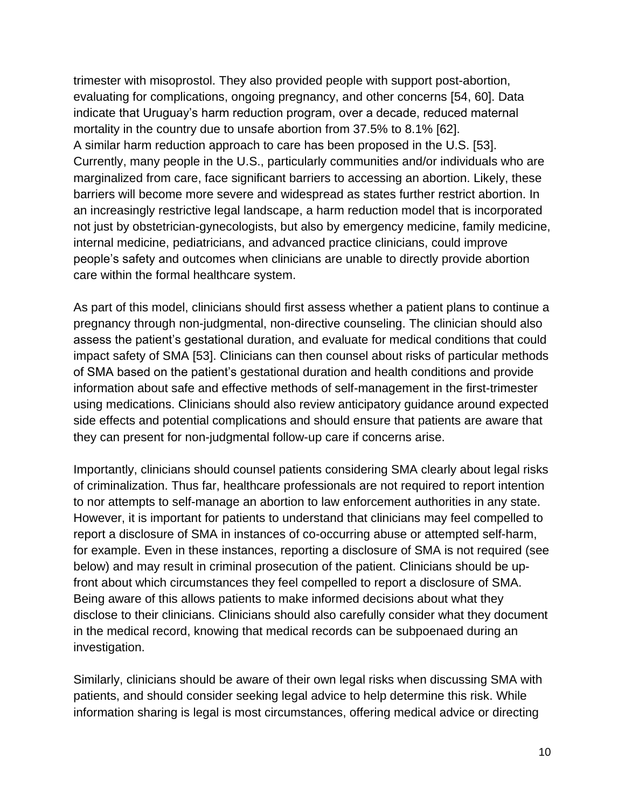trimester with misoprostol. They also provided people with support post-abortion, evaluating for complications, ongoing pregnancy, and other concerns [\[54,](#page-19-4) [60\]](#page-19-5). Data indicate that Uruguay's harm reduction program, over a decade, reduced maternal mortality in the country due to unsafe abortion from 37.5% to 8.1% [\[62\]](#page-19-6). A similar harm reduction approach to care has been proposed in the U.S. [\[53\]](#page-19-2). Currently, many people in the U.S., particularly communities and/or individuals who are marginalized from care, face significant barriers to accessing an abortion. Likely, these barriers will become more severe and widespread as states further restrict abortion. In an increasingly restrictive legal landscape, a harm reduction model that is incorporated not just by obstetrician-gynecologists, but also by emergency medicine, family medicine, internal medicine, pediatricians, and advanced practice clinicians, could improve people's safety and outcomes when clinicians are unable to directly provide abortion care within the formal healthcare system.

As part of this model, clinicians should first assess whether a patient plans to continue a pregnancy through non-judgmental, non-directive counseling. The clinician should also assess the patient's gestational duration, and evaluate for medical conditions that could impact safety of SMA [\[53\]](#page-19-2). Clinicians can then counsel about risks of particular methods of SMA based on the patient's gestational duration and health conditions and provide information about safe and effective methods of self-management in the first-trimester using medications. Clinicians should also review anticipatory guidance around expected side effects and potential complications and should ensure that patients are aware that they can present for non-judgmental follow-up care if concerns arise.

Importantly, clinicians should counsel patients considering SMA clearly about legal risks of criminalization. Thus far, healthcare professionals are not required to report intention to nor attempts to self-manage an abortion to law enforcement authorities in any state. However, it is important for patients to understand that clinicians may feel compelled to report a disclosure of SMA in instances of co-occurring abuse or attempted self-harm, for example. Even in these instances, reporting a disclosure of SMA is not required (see below) and may result in criminal prosecution of the patient. Clinicians should be upfront about which circumstances they feel compelled to report a disclosure of SMA. Being aware of this allows patients to make informed decisions about what they disclose to their clinicians. Clinicians should also carefully consider what they document in the medical record, knowing that medical records can be subpoenaed during an investigation.

Similarly, clinicians should be aware of their own legal risks when discussing SMA with patients, and should consider seeking legal advice to help determine this risk. While information sharing is legal is most circumstances, offering medical advice or directing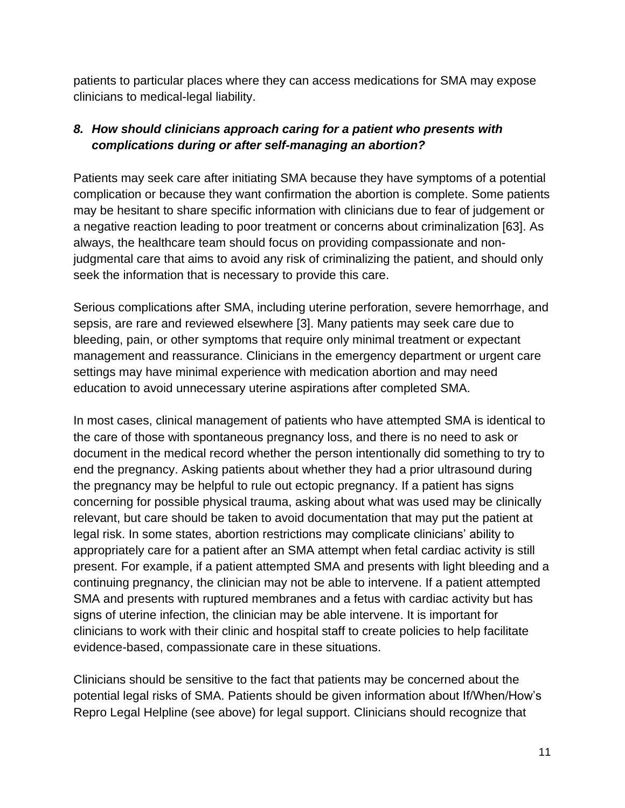patients to particular places where they can access medications for SMA may expose clinicians to medical-legal liability.

## *8. How should clinicians approach caring for a patient who presents with complications during or after self-managing an abortion?*

Patients may seek care after initiating SMA because they have symptoms of a potential complication or because they want confirmation the abortion is complete. Some patients may be hesitant to share specific information with clinicians due to fear of judgement or a negative reaction leading to poor treatment or concerns about criminalization [\[63\]](#page-19-7). As always, the healthcare team should focus on providing compassionate and nonjudgmental care that aims to avoid any risk of criminalizing the patient, and should only seek the information that is necessary to provide this care.

Serious complications after SMA, including uterine perforation, severe hemorrhage, and sepsis, are rare and reviewed elsewhere [\[3\]](#page-16-2). Many patients may seek care due to bleeding, pain, or other symptoms that require only minimal treatment or expectant management and reassurance. Clinicians in the emergency department or urgent care settings may have minimal experience with medication abortion and may need education to avoid unnecessary uterine aspirations after completed SMA.

In most cases, clinical management of patients who have attempted SMA is identical to the care of those with spontaneous pregnancy loss, and there is no need to ask or document in the medical record whether the person intentionally did something to try to end the pregnancy. Asking patients about whether they had a prior ultrasound during the pregnancy may be helpful to rule out ectopic pregnancy. If a patient has signs concerning for possible physical trauma, asking about what was used may be clinically relevant, but care should be taken to avoid documentation that may put the patient at legal risk. In some states, abortion restrictions may complicate clinicians' ability to appropriately care for a patient after an SMA attempt when fetal cardiac activity is still present. For example, if a patient attempted SMA and presents with light bleeding and a continuing pregnancy, the clinician may not be able to intervene. If a patient attempted SMA and presents with ruptured membranes and a fetus with cardiac activity but has signs of uterine infection, the clinician may be able intervene. It is important for clinicians to work with their clinic and hospital staff to create policies to help facilitate evidence-based, compassionate care in these situations.

Clinicians should be sensitive to the fact that patients may be concerned about the potential legal risks of SMA. Patients should be given information about If/When/How's Repro Legal Helpline (see above) for legal support. Clinicians should recognize that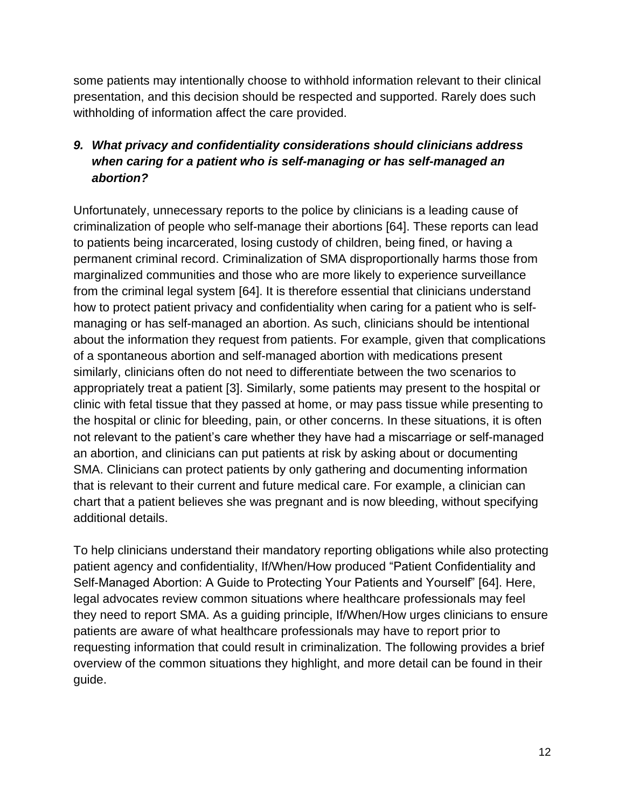some patients may intentionally choose to withhold information relevant to their clinical presentation, and this decision should be respected and supported. Rarely does such withholding of information affect the care provided.

### *9. What privacy and confidentiality considerations should clinicians address when caring for a patient who is self-managing or has self-managed an abortion?*

Unfortunately, unnecessary reports to the police by clinicians is a leading cause of criminalization of people who self-manage their abortions [\[64\]](#page-19-8). These reports can lead to patients being incarcerated, losing custody of children, being fined, or having a permanent criminal record. Criminalization of SMA disproportionally harms those from marginalized communities and those who are more likely to experience surveillance from the criminal legal system [\[64\]](#page-19-8). It is therefore essential that clinicians understand how to protect patient privacy and confidentiality when caring for a patient who is selfmanaging or has self-managed an abortion. As such, clinicians should be intentional about the information they request from patients. For example, given that complications of a spontaneous abortion and self-managed abortion with medications present similarly, clinicians often do not need to differentiate between the two scenarios to appropriately treat a patient [\[3\]](#page-16-2). Similarly, some patients may present to the hospital or clinic with fetal tissue that they passed at home, or may pass tissue while presenting to the hospital or clinic for bleeding, pain, or other concerns. In these situations, it is often not relevant to the patient's care whether they have had a miscarriage or self-managed an abortion, and clinicians can put patients at risk by asking about or documenting SMA. Clinicians can protect patients by only gathering and documenting information that is relevant to their current and future medical care. For example, a clinician can chart that a patient believes she was pregnant and is now bleeding, without specifying additional details.

To help clinicians understand their mandatory reporting obligations while also protecting patient agency and confidentiality, If/When/How produced "Patient Confidentiality and Self-Managed Abortion: A Guide to Protecting Your Patients and Yourself" [\[64\]](#page-19-8). Here, legal advocates review common situations where healthcare professionals may feel they need to report SMA. As a guiding principle, If/When/How urges clinicians to ensure patients are aware of what healthcare professionals may have to report prior to requesting information that could result in criminalization. The following provides a brief overview of the common situations they highlight, and more detail can be found in their guide.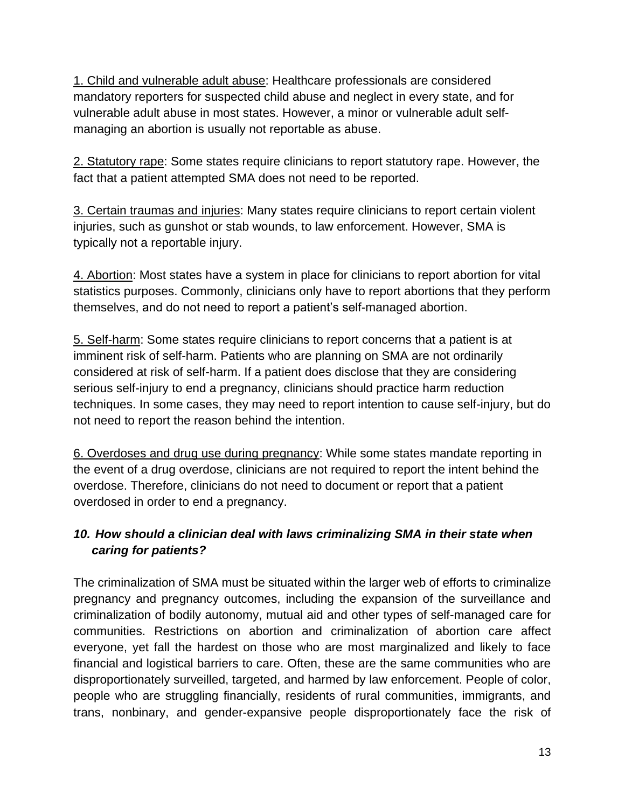1. Child and vulnerable adult abuse: Healthcare professionals are considered mandatory reporters for suspected child abuse and neglect in every state, and for vulnerable adult abuse in most states. However, a minor or vulnerable adult selfmanaging an abortion is usually not reportable as abuse.

2. Statutory rape: Some states require clinicians to report statutory rape. However, the fact that a patient attempted SMA does not need to be reported.

3. Certain traumas and injuries: Many states require clinicians to report certain violent injuries, such as gunshot or stab wounds, to law enforcement. However, SMA is typically not a reportable injury.

4. Abortion: Most states have a system in place for clinicians to report abortion for vital statistics purposes. Commonly, clinicians only have to report abortions that they perform themselves, and do not need to report a patient's self-managed abortion.

5. Self-harm: Some states require clinicians to report concerns that a patient is at imminent risk of self-harm. Patients who are planning on SMA are not ordinarily considered at risk of self-harm. If a patient does disclose that they are considering serious self-injury to end a pregnancy, clinicians should practice harm reduction techniques. In some cases, they may need to report intention to cause self-injury, but do not need to report the reason behind the intention.

6. Overdoses and drug use during pregnancy: While some states mandate reporting in the event of a drug overdose, clinicians are not required to report the intent behind the overdose. Therefore, clinicians do not need to document or report that a patient overdosed in order to end a pregnancy.

# *10. How should a clinician deal with laws criminalizing SMA in their state when caring for patients?*

The criminalization of SMA must be situated within the larger web of efforts to criminalize pregnancy and pregnancy outcomes, including the expansion of the surveillance and criminalization of bodily autonomy, mutual aid and other types of self-managed care for communities. Restrictions on abortion and criminalization of abortion care affect everyone, yet fall the hardest on those who are most marginalized and likely to face financial and logistical barriers to care. Often, these are the same communities who are disproportionately surveilled, targeted, and harmed by law enforcement. People of color, people who are struggling financially, residents of rural communities, immigrants, and trans, nonbinary, and gender-expansive people disproportionately face the risk of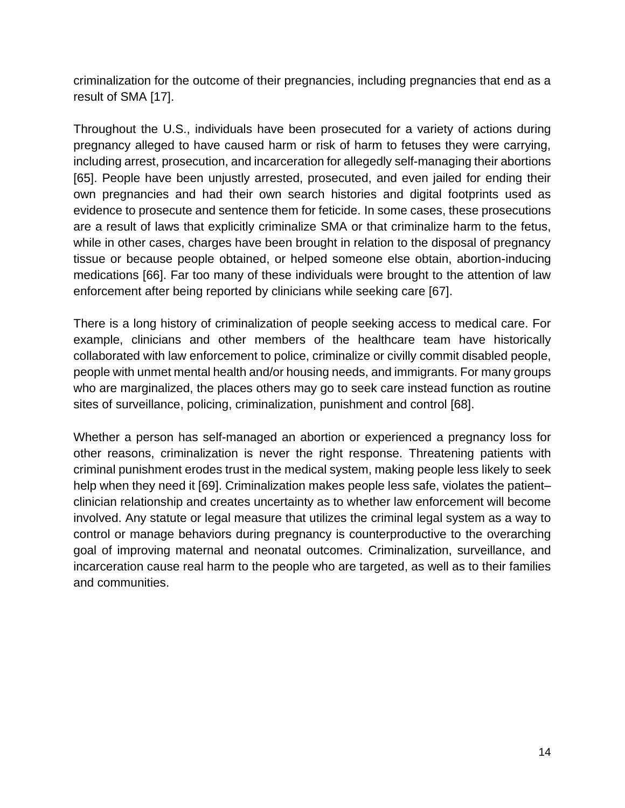criminalization for the outcome of their pregnancies, including pregnancies that end as a result of SMA [\[17\]](#page-17-1).

Throughout the U.S., individuals have been prosecuted for a variety of actions during pregnancy alleged to have caused harm or risk of harm to fetuses they were carrying, including arrest, prosecution, and incarceration for allegedly self-managing their abortions [\[65\]](#page-20-0). People have been unjustly arrested, prosecuted, and even jailed for ending their own pregnancies and had their own search histories and digital footprints used as evidence to prosecute and sentence them for feticide. In some cases, these prosecutions are a result of laws that explicitly criminalize SMA or that criminalize harm to the fetus, while in other cases, charges have been brought in relation to the disposal of pregnancy tissue or because people obtained, or helped someone else obtain, abortion-inducing medications [\[66\]](#page-20-1). Far too many of these individuals were brought to the attention of law enforcement after being reported by clinicians while seeking care [\[67\]](#page-20-2).

There is a long history of criminalization of people seeking access to medical care. For example, clinicians and other members of the healthcare team have historically collaborated with law enforcement to police, criminalize or civilly commit disabled people, people with unmet mental health and/or housing needs, and immigrants. For many groups who are marginalized, the places others may go to seek care instead function as routine sites of surveillance, policing, criminalization, punishment and control [\[68\]](#page-20-3).

Whether a person has self-managed an abortion or experienced a pregnancy loss for other reasons, criminalization is never the right response. Threatening patients with criminal punishment erodes trust in the medical system, making people less likely to seek help when they need it [\[69\]](#page-20-4). Criminalization makes people less safe, violates the patient– clinician relationship and creates uncertainty as to whether law enforcement will become involved. Any statute or legal measure that utilizes the criminal legal system as a way to control or manage behaviors during pregnancy is counterproductive to the overarching goal of improving maternal and neonatal outcomes. Criminalization, surveillance, and incarceration cause real harm to the people who are targeted, as well as to their families and communities.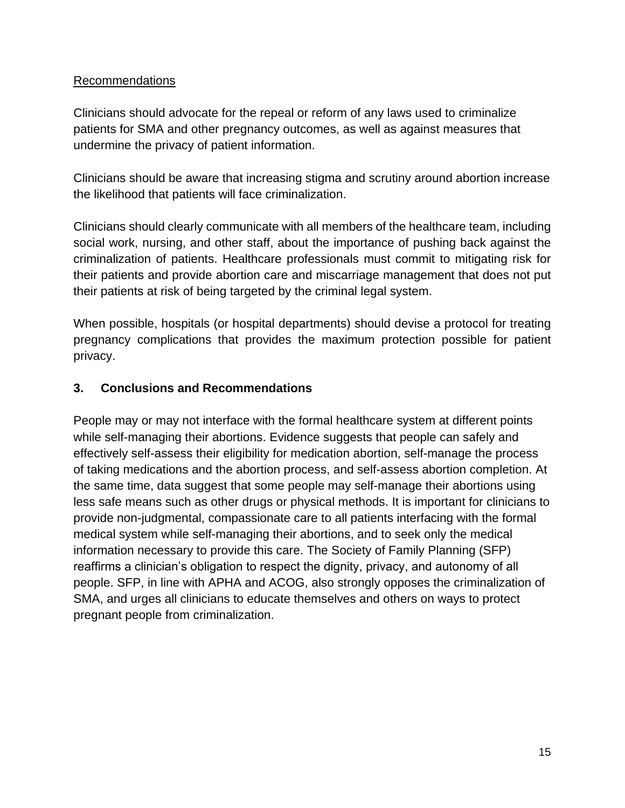#### Recommendations

Clinicians should advocate for the repeal or reform of any laws used to criminalize patients for SMA and other pregnancy outcomes, as well as against measures that undermine the privacy of patient information.

Clinicians should be aware that increasing stigma and scrutiny around abortion increase the likelihood that patients will face criminalization.

Clinicians should clearly communicate with all members of the healthcare team, including social work, nursing, and other staff, about the importance of pushing back against the criminalization of patients. Healthcare professionals must commit to mitigating risk for their patients and provide abortion care and miscarriage management that does not put their patients at risk of being targeted by the criminal legal system.

When possible, hospitals (or hospital departments) should devise a protocol for treating pregnancy complications that provides the maximum protection possible for patient privacy.

#### **3. Conclusions and Recommendations**

People may or may not interface with the formal healthcare system at different points while self-managing their abortions. Evidence suggests that people can safely and effectively self-assess their eligibility for medication abortion, self-manage the process of taking medications and the abortion process, and self-assess abortion completion. At the same time, data suggest that some people may self-manage their abortions using less safe means such as other drugs or physical methods. It is important for clinicians to provide non-judgmental, compassionate care to all patients interfacing with the formal medical system while self-managing their abortions, and to seek only the medical information necessary to provide this care. The Society of Family Planning (SFP) reaffirms a clinician's obligation to respect the dignity, privacy, and autonomy of all people. SFP, in line with APHA and ACOG, also strongly opposes the criminalization of SMA, and urges all clinicians to educate themselves and others on ways to protect pregnant people from criminalization.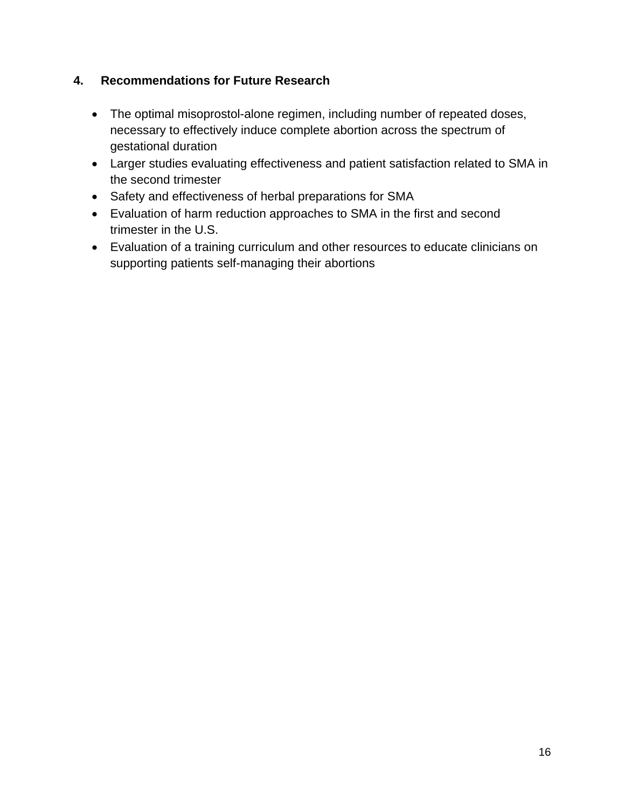### **4. Recommendations for Future Research**

- The optimal misoprostol-alone regimen, including number of repeated doses, necessary to effectively induce complete abortion across the spectrum of gestational duration
- Larger studies evaluating effectiveness and patient satisfaction related to SMA in the second trimester
- Safety and effectiveness of herbal preparations for SMA
- Evaluation of harm reduction approaches to SMA in the first and second trimester in the U.S.
- Evaluation of a training curriculum and other resources to educate clinicians on supporting patients self-managing their abortions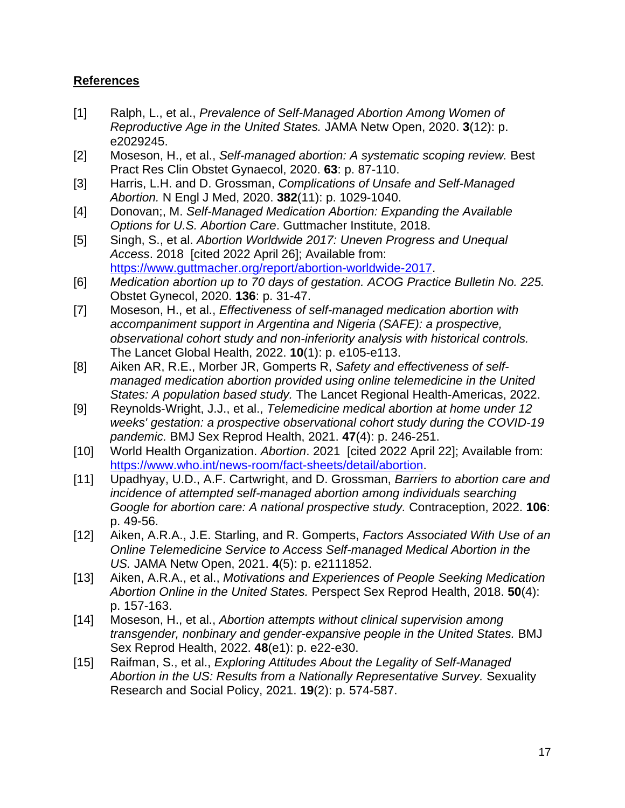### **References**

- <span id="page-16-0"></span>[1] Ralph, L., et al., *Prevalence of Self-Managed Abortion Among Women of Reproductive Age in the United States.* JAMA Netw Open, 2020. **3**(12): p. e2029245.
- <span id="page-16-1"></span>[2] Moseson, H., et al., *Self-managed abortion: A systematic scoping review.* Best Pract Res Clin Obstet Gynaecol, 2020. **63**: p. 87-110.
- <span id="page-16-2"></span>[3] Harris, L.H. and D. Grossman, *Complications of Unsafe and Self-Managed Abortion.* N Engl J Med, 2020. **382**(11): p. 1029-1040.
- <span id="page-16-3"></span>[4] Donovan;, M. *Self-Managed Medication Abortion: Expanding the Available Options for U.S. Abortion Care*. Guttmacher Institute, 2018.
- <span id="page-16-4"></span>[5] Singh, S., et al. *Abortion Worldwide 2017: Uneven Progress and Unequal Access*. 2018 [cited 2022 April 26]; Available from: [https://www.guttmacher.org/report/abortion-worldwide-2017.](https://www.guttmacher.org/report/abortion-worldwide-2017)
- <span id="page-16-5"></span>[6] *Medication abortion up to 70 days of gestation. ACOG Practice Bulletin No. 225.* Obstet Gynecol, 2020. **136**: p. 31-47.
- <span id="page-16-12"></span>[7] Moseson, H., et al., *Effectiveness of self-managed medication abortion with accompaniment support in Argentina and Nigeria (SAFE): a prospective, observational cohort study and non-inferiority analysis with historical controls.* The Lancet Global Health, 2022. **10**(1): p. e105-e113.
- [8] Aiken AR, R.E., Morber JR, Gomperts R, *Safety and effectiveness of selfmanaged medication abortion provided using online telemedicine in the United States: A population based study.* The Lancet Regional Health-Americas, 2022.
- [9] Reynolds-Wright, J.J., et al., *Telemedicine medical abortion at home under 12 weeks' gestation: a prospective observational cohort study during the COVID-19 pandemic.* BMJ Sex Reprod Health, 2021. **47**(4): p. 246-251.
- <span id="page-16-6"></span>[10] World Health Organization. *Abortion*. 2021 [cited 2022 April 22]; Available from: [https://www.who.int/news-room/fact-sheets/detail/abortion.](https://www.who.int/news-room/fact-sheets/detail/abortion)
- <span id="page-16-7"></span>[11] Upadhyay, U.D., A.F. Cartwright, and D. Grossman, *Barriers to abortion care and incidence of attempted self-managed abortion among individuals searching Google for abortion care: A national prospective study.* Contraception, 2022. **106**: p. 49-56.
- <span id="page-16-8"></span>[12] Aiken, A.R.A., J.E. Starling, and R. Gomperts, *Factors Associated With Use of an Online Telemedicine Service to Access Self-managed Medical Abortion in the US.* JAMA Netw Open, 2021. **4**(5): p. e2111852.
- <span id="page-16-9"></span>[13] Aiken, A.R.A., et al., *Motivations and Experiences of People Seeking Medication Abortion Online in the United States.* Perspect Sex Reprod Health, 2018. **50**(4): p. 157-163.
- <span id="page-16-10"></span>[14] Moseson, H., et al., *Abortion attempts without clinical supervision among transgender, nonbinary and gender-expansive people in the United States.* BMJ Sex Reprod Health, 2022. **48**(e1): p. e22-e30.
- <span id="page-16-11"></span>[15] Raifman, S., et al., *Exploring Attitudes About the Legality of Self-Managed Abortion in the US: Results from a Nationally Representative Survey.* Sexuality Research and Social Policy, 2021. **19**(2): p. 574-587.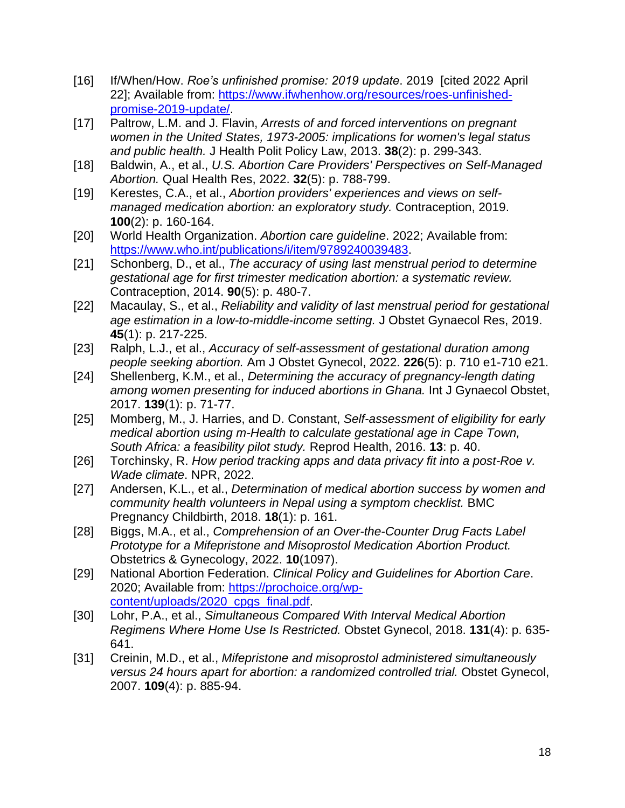- <span id="page-17-0"></span>[16] If/When/How. *Roe's unfinished promise: 2019 update*. 2019 [cited 2022 April 22]; Available from: [https://www.ifwhenhow.org/resources/roes-unfinished](https://www.ifwhenhow.org/resources/roes-unfinished-promise-2019-update/)[promise-2019-update/.](https://www.ifwhenhow.org/resources/roes-unfinished-promise-2019-update/)
- <span id="page-17-1"></span>[17] Paltrow, L.M. and J. Flavin, *Arrests of and forced interventions on pregnant women in the United States, 1973-2005: implications for women's legal status and public health.* J Health Polit Policy Law, 2013. **38**(2): p. 299-343.
- <span id="page-17-2"></span>[18] Baldwin, A., et al., *U.S. Abortion Care Providers' Perspectives on Self-Managed Abortion.* Qual Health Res, 2022. **32**(5): p. 788-799.
- <span id="page-17-3"></span>[19] Kerestes, C.A., et al., *Abortion providers' experiences and views on selfmanaged medication abortion: an exploratory study.* Contraception, 2019. **100**(2): p. 160-164.
- <span id="page-17-4"></span>[20] World Health Organization. *Abortion care guideline*. 2022; Available from: [https://www.who.int/publications/i/item/9789240039483.](https://www.who.int/publications/i/item/9789240039483)
- <span id="page-17-5"></span>[21] Schonberg, D., et al., *The accuracy of using last menstrual period to determine gestational age for first trimester medication abortion: a systematic review.* Contraception, 2014. **90**(5): p. 480-7.
- <span id="page-17-6"></span>[22] Macaulay, S., et al., *Reliability and validity of last menstrual period for gestational age estimation in a low-to-middle-income setting.* J Obstet Gynaecol Res, 2019. **45**(1): p. 217-225.
- <span id="page-17-7"></span>[23] Ralph, L.J., et al., *Accuracy of self-assessment of gestational duration among people seeking abortion.* Am J Obstet Gynecol, 2022. **226**(5): p. 710 e1-710 e21.
- <span id="page-17-8"></span>[24] Shellenberg, K.M., et al., *Determining the accuracy of pregnancy-length dating among women presenting for induced abortions in Ghana.* Int J Gynaecol Obstet, 2017. **139**(1): p. 71-77.
- <span id="page-17-9"></span>[25] Momberg, M., J. Harries, and D. Constant, *Self-assessment of eligibility for early medical abortion using m-Health to calculate gestational age in Cape Town, South Africa: a feasibility pilot study.* Reprod Health, 2016. **13**: p. 40.
- <span id="page-17-10"></span>[26] Torchinsky, R. *How period tracking apps and data privacy fit into a post-Roe v. Wade climate*. NPR, 2022.
- <span id="page-17-11"></span>[27] Andersen, K.L., et al., *Determination of medical abortion success by women and community health volunteers in Nepal using a symptom checklist.* BMC Pregnancy Childbirth, 2018. **18**(1): p. 161.
- <span id="page-17-12"></span>[28] Biggs, M.A., et al., *Comprehension of an Over-the-Counter Drug Facts Label Prototype for a Mifepristone and Misoprostol Medication Abortion Product.* Obstetrics & Gynecology, 2022. **10**(1097).
- <span id="page-17-13"></span>[29] National Abortion Federation. *Clinical Policy and Guidelines for Abortion Care*. 2020; Available from: [https://prochoice.org/wp](https://prochoice.org/wp-content/uploads/2020_cpgs_final.pdf)[content/uploads/2020\\_cpgs\\_final.pdf.](https://prochoice.org/wp-content/uploads/2020_cpgs_final.pdf)
- <span id="page-17-14"></span>[30] Lohr, P.A., et al., *Simultaneous Compared With Interval Medical Abortion Regimens Where Home Use Is Restricted.* Obstet Gynecol, 2018. **131**(4): p. 635- 641.
- <span id="page-17-15"></span>[31] Creinin, M.D., et al., *Mifepristone and misoprostol administered simultaneously versus 24 hours apart for abortion: a randomized controlled trial.* Obstet Gynecol, 2007. **109**(4): p. 885-94.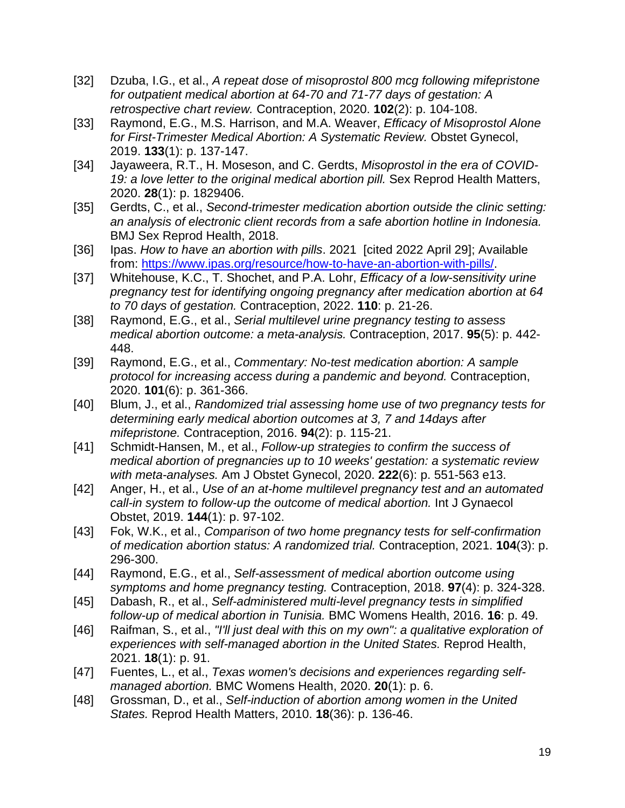- <span id="page-18-0"></span>[32] Dzuba, I.G., et al., *A repeat dose of misoprostol 800 mcg following mifepristone for outpatient medical abortion at 64-70 and 71-77 days of gestation: A retrospective chart review.* Contraception, 2020. **102**(2): p. 104-108.
- <span id="page-18-1"></span>[33] Raymond, E.G., M.S. Harrison, and M.A. Weaver, *Efficacy of Misoprostol Alone for First-Trimester Medical Abortion: A Systematic Review.* Obstet Gynecol, 2019. **133**(1): p. 137-147.
- <span id="page-18-2"></span>[34] Jayaweera, R.T., H. Moseson, and C. Gerdts, *Misoprostol in the era of COVID-19: a love letter to the original medical abortion pill.* Sex Reprod Health Matters, 2020. **28**(1): p. 1829406.
- <span id="page-18-3"></span>[35] Gerdts, C., et al., *Second-trimester medication abortion outside the clinic setting: an analysis of electronic client records from a safe abortion hotline in Indonesia.* BMJ Sex Reprod Health, 2018.
- <span id="page-18-4"></span>[36] Ipas. *How to have an abortion with pills*. 2021 [cited 2022 April 29]; Available from: https://www.ipas.org/resource/how-to-have-an-abortion-with-pills/.
- <span id="page-18-5"></span>[37] Whitehouse, K.C., T. Shochet, and P.A. Lohr, *Efficacy of a low-sensitivity urine pregnancy test for identifying ongoing pregnancy after medication abortion at 64 to 70 days of gestation.* Contraception, 2022. **110**: p. 21-26.
- <span id="page-18-6"></span>[38] Raymond, E.G., et al., *Serial multilevel urine pregnancy testing to assess medical abortion outcome: a meta-analysis.* Contraception, 2017. **95**(5): p. 442- 448.
- <span id="page-18-7"></span>[39] Raymond, E.G., et al., *Commentary: No-test medication abortion: A sample protocol for increasing access during a pandemic and beyond.* Contraception, 2020. **101**(6): p. 361-366.
- <span id="page-18-8"></span>[40] Blum, J., et al., *Randomized trial assessing home use of two pregnancy tests for determining early medical abortion outcomes at 3, 7 and 14days after mifepristone.* Contraception, 2016. **94**(2): p. 115-21.
- [41] Schmidt-Hansen, M., et al., *Follow-up strategies to confirm the success of medical abortion of pregnancies up to 10 weeks' gestation: a systematic review with meta-analyses.* Am J Obstet Gynecol, 2020. **222**(6): p. 551-563 e13.
- [42] Anger, H., et al., *Use of an at-home multilevel pregnancy test and an automated call-in system to follow-up the outcome of medical abortion.* Int J Gynaecol Obstet, 2019. **144**(1): p. 97-102.
- [43] Fok, W.K., et al., *Comparison of two home pregnancy tests for self-confirmation of medication abortion status: A randomized trial.* Contraception, 2021. **104**(3): p. 296-300.
- [44] Raymond, E.G., et al., *Self-assessment of medical abortion outcome using symptoms and home pregnancy testing.* Contraception, 2018. **97**(4): p. 324-328.
- [45] Dabash, R., et al., *Self-administered multi-level pregnancy tests in simplified follow-up of medical abortion in Tunisia.* BMC Womens Health, 2016. **16**: p. 49.
- <span id="page-18-9"></span>[46] Raifman, S., et al., *"I'll just deal with this on my own": a qualitative exploration of experiences with self-managed abortion in the United States.* Reprod Health, 2021. **18**(1): p. 91.
- <span id="page-18-10"></span>[47] Fuentes, L., et al., *Texas women's decisions and experiences regarding selfmanaged abortion.* BMC Womens Health, 2020. **20**(1): p. 6.
- <span id="page-18-11"></span>[48] Grossman, D., et al., *Self-induction of abortion among women in the United States.* Reprod Health Matters, 2010. **18**(36): p. 136-46.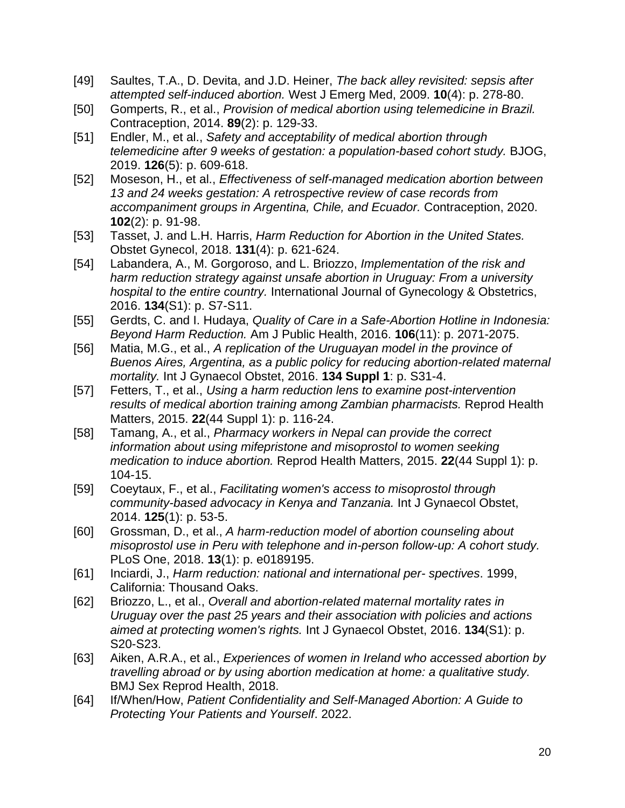- <span id="page-19-0"></span>[49] Saultes, T.A., D. Devita, and J.D. Heiner, *The back alley revisited: sepsis after attempted self-induced abortion.* West J Emerg Med, 2009. **10**(4): p. 278-80.
- <span id="page-19-1"></span>[50] Gomperts, R., et al., *Provision of medical abortion using telemedicine in Brazil.* Contraception, 2014. **89**(2): p. 129-33.
- [51] Endler, M., et al., *Safety and acceptability of medical abortion through telemedicine after 9 weeks of gestation: a population-based cohort study.* BJOG, 2019. **126**(5): p. 609-618.
- [52] Moseson, H., et al., *Effectiveness of self-managed medication abortion between 13 and 24 weeks gestation: A retrospective review of case records from accompaniment groups in Argentina, Chile, and Ecuador.* Contraception, 2020. **102**(2): p. 91-98.
- <span id="page-19-2"></span>[53] Tasset, J. and L.H. Harris, *Harm Reduction for Abortion in the United States.* Obstet Gynecol, 2018. **131**(4): p. 621-624.
- <span id="page-19-4"></span>[54] Labandera, A., M. Gorgoroso, and L. Briozzo, *Implementation of the risk and harm reduction strategy against unsafe abortion in Uruguay: From a university hospital to the entire country.* International Journal of Gynecology & Obstetrics, 2016. **134**(S1): p. S7-S11.
- [55] Gerdts, C. and I. Hudaya, *Quality of Care in a Safe-Abortion Hotline in Indonesia: Beyond Harm Reduction.* Am J Public Health, 2016. **106**(11): p. 2071-2075.
- [56] Matia, M.G., et al., *A replication of the Uruguayan model in the province of Buenos Aires, Argentina, as a public policy for reducing abortion-related maternal mortality.* Int J Gynaecol Obstet, 2016. **134 Suppl 1**: p. S31-4.
- [57] Fetters, T., et al., *Using a harm reduction lens to examine post-intervention results of medical abortion training among Zambian pharmacists.* Reprod Health Matters, 2015. **22**(44 Suppl 1): p. 116-24.
- [58] Tamang, A., et al., *Pharmacy workers in Nepal can provide the correct information about using mifepristone and misoprostol to women seeking medication to induce abortion.* Reprod Health Matters, 2015. **22**(44 Suppl 1): p. 104-15.
- [59] Coeytaux, F., et al., *Facilitating women's access to misoprostol through community-based advocacy in Kenya and Tanzania.* Int J Gynaecol Obstet, 2014. **125**(1): p. 53-5.
- <span id="page-19-5"></span>[60] Grossman, D., et al., *A harm-reduction model of abortion counseling about misoprostol use in Peru with telephone and in-person follow-up: A cohort study.* PLoS One, 2018. **13**(1): p. e0189195.
- <span id="page-19-3"></span>[61] Inciardi, J., *Harm reduction: national and international per- spectives*. 1999, California: Thousand Oaks.
- <span id="page-19-6"></span>[62] Briozzo, L., et al., *Overall and abortion-related maternal mortality rates in Uruguay over the past 25 years and their association with policies and actions aimed at protecting women's rights.* Int J Gynaecol Obstet, 2016. **134**(S1): p. S20-S23.
- <span id="page-19-7"></span>[63] Aiken, A.R.A., et al., *Experiences of women in Ireland who accessed abortion by travelling abroad or by using abortion medication at home: a qualitative study.* BMJ Sex Reprod Health, 2018.
- <span id="page-19-8"></span>[64] If/When/How, *Patient Confidentiality and Self-Managed Abortion: A Guide to Protecting Your Patients and Yourself*. 2022.